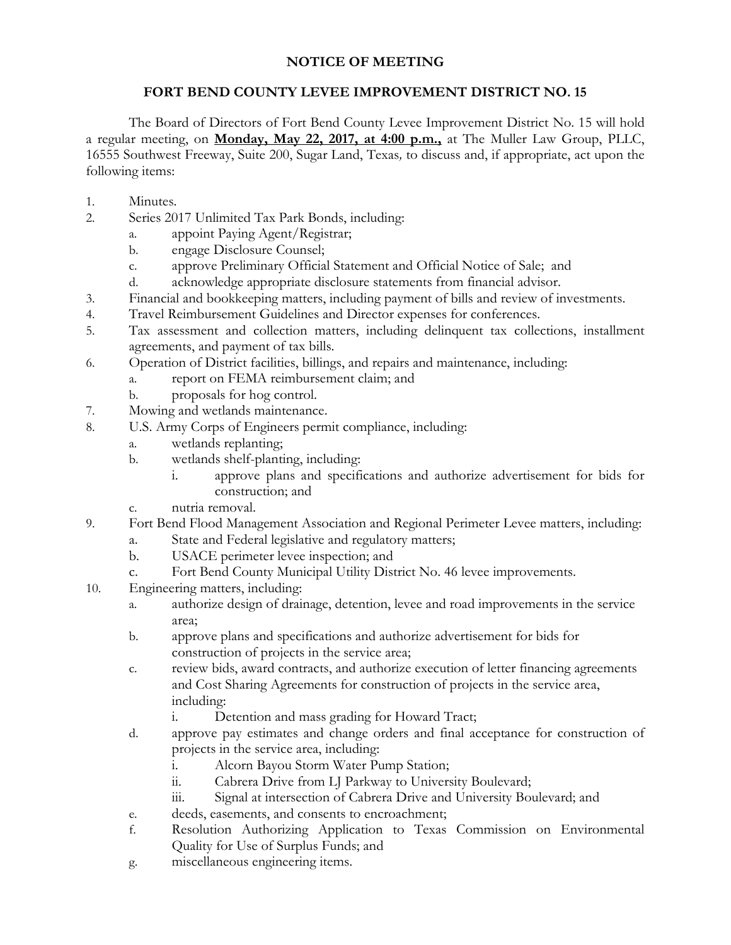## **NOTICE OF MEETING**

## **FORT BEND COUNTY LEVEE IMPROVEMENT DISTRICT NO. 15**

The Board of Directors of Fort Bend County Levee Improvement District No. 15 will hold a regular meeting, on **Monday, May 22, 2017, at 4:00 p.m.,** at The Muller Law Group, PLLC, 16555 Southwest Freeway, Suite 200, Sugar Land, Texas*,* to discuss and, if appropriate, act upon the following items:

- 1. Minutes.
- 2. Series 2017 Unlimited Tax Park Bonds, including:
	- a. appoint Paying Agent/Registrar;
	- b. engage Disclosure Counsel;
	- c. approve Preliminary Official Statement and Official Notice of Sale; and
	- d. acknowledge appropriate disclosure statements from financial advisor.
- 3. Financial and bookkeeping matters, including payment of bills and review of investments.
- 4. Travel Reimbursement Guidelines and Director expenses for conferences.
- 5. Tax assessment and collection matters, including delinquent tax collections, installment agreements, and payment of tax bills.
- 6. Operation of District facilities, billings, and repairs and maintenance, including:
	- a. report on FEMA reimbursement claim; and
	- b. proposals for hog control.
- 7. Mowing and wetlands maintenance.
- 8. U.S. Army Corps of Engineers permit compliance, including:
	- a. wetlands replanting;
	- b. wetlands shelf-planting, including:
		- i. approve plans and specifications and authorize advertisement for bids for construction; and
	- c. nutria removal.
- 9. Fort Bend Flood Management Association and Regional Perimeter Levee matters, including:
	- a. State and Federal legislative and regulatory matters;
	- b. USACE perimeter levee inspection; and
	- c. Fort Bend County Municipal Utility District No. 46 levee improvements.
- 10. Engineering matters, including:
	- a. authorize design of drainage, detention, levee and road improvements in the service area;
	- b. approve plans and specifications and authorize advertisement for bids for construction of projects in the service area;
	- c. review bids, award contracts, and authorize execution of letter financing agreements and Cost Sharing Agreements for construction of projects in the service area, including:
		- i. Detention and mass grading for Howard Tract;
	- d. approve pay estimates and change orders and final acceptance for construction of projects in the service area, including:
		- i. Alcorn Bayou Storm Water Pump Station;
		- ii. Cabrera Drive from LJ Parkway to University Boulevard;
		- iii. Signal at intersection of Cabrera Drive and University Boulevard; and
	- e. deeds, easements, and consents to encroachment;
	- f. Resolution Authorizing Application to Texas Commission on Environmental Quality for Use of Surplus Funds; and
	- g. miscellaneous engineering items.